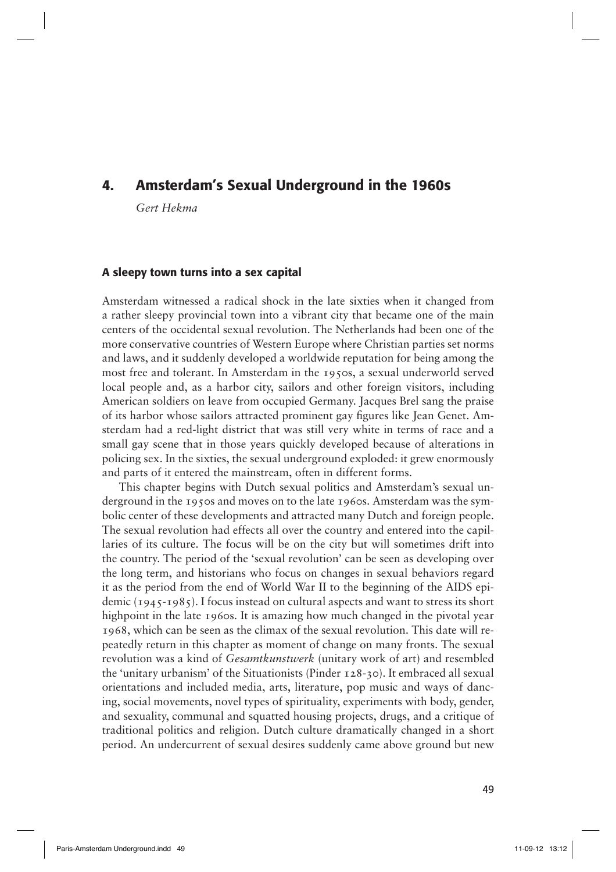# 4. Amsterdam's Sexual Underground in the 1960s

*Gert Hekma*

### A sleepy town turns into a sex capital

Amsterdam witnessed a radical shock in the late sixties when it changed from a rather sleepy provincial town into a vibrant city that became one of the main centers of the occidental sexual revolution. The Netherlands had been one of the more conservative countries of Western Europe where Christian parties set norms and laws, and it suddenly developed a worldwide reputation for being among the most free and tolerant. In Amsterdam in the 1950s, a sexual underworld served local people and, as a harbor city, sailors and other foreign visitors, including American soldiers on leave from occupied Germany. Jacques Brel sang the praise of its harbor whose sailors attracted prominent gay figures like Jean Genet. Amsterdam had a red-light district that was still very white in terms of race and a small gay scene that in those years quickly developed because of alterations in policing sex. In the sixties, the sexual underground exploded: it grew enormously and parts of it entered the mainstream, often in different forms.

This chapter begins with Dutch sexual politics and Amsterdam's sexual underground in the 1950s and moves on to the late 1960s. Amsterdam was the symbolic center of these developments and attracted many Dutch and foreign people. The sexual revolution had effects all over the country and entered into the capillaries of its culture. The focus will be on the city but will sometimes drift into the country. The period of the 'sexual revolution' can be seen as developing over the long term, and historians who focus on changes in sexual behaviors regard it as the period from the end of World War II to the beginning of the AIDS epidemic  $(1945-1985)$ . I focus instead on cultural aspects and want to stress its short highpoint in the late 1960s. It is amazing how much changed in the pivotal year 1968, which can be seen as the climax of the sexual revolution. This date will repeatedly return in this chapter as moment of change on many fronts. The sexual revolution was a kind of *Gesamtkunstwerk* (unitary work of art) and resembled the 'unitary urbanism' of the Situationists (Pinder 128-30). It embraced all sexual orientations and included media, arts, literature, pop music and ways of dancing, social movements, novel types of spirituality, experiments with body, gender, and sexuality, communal and squatted housing projects, drugs, and a critique of traditional politics and religion. Dutch culture dramatically changed in a short period. An undercurrent of sexual desires suddenly came above ground but new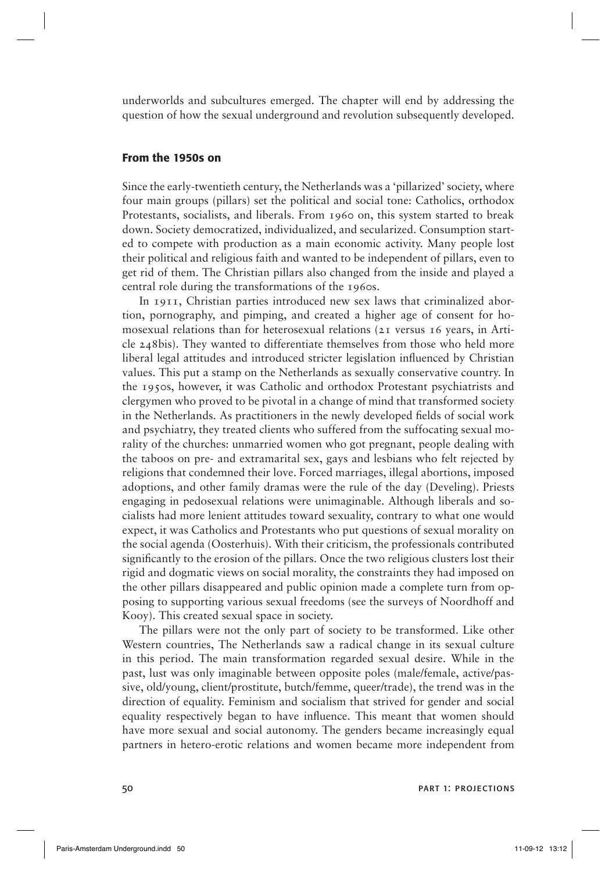underworlds and subcultures emerged. The chapter will end by addressing the question of how the sexual underground and revolution subsequently developed.

# From the 1950s on

Since the early-twentieth century, the Netherlands was a 'pillarized' society, where four main groups (pillars) set the political and social tone: Catholics, orthodox Protestants, socialists, and liberals. From 1960 on, this system started to break down. Society democratized, individualized, and secularized. Consumption started to compete with production as a main economic activity. Many people lost their political and religious faith and wanted to be independent of pillars, even to get rid of them. The Christian pillars also changed from the inside and played a central role during the transformations of the 1960s.

In 1911, Christian parties introduced new sex laws that criminalized abortion, pornography, and pimping, and created a higher age of consent for homosexual relations than for heterosexual relations (21 versus 16 years, in Article 248bis). They wanted to differentiate themselves from those who held more liberal legal attitudes and introduced stricter legislation influenced by Christian values. This put a stamp on the Netherlands as sexually conservative country. In the 1950s, however, it was Catholic and orthodox Protestant psychiatrists and clergymen who proved to be pivotal in a change of mind that transformed society in the Netherlands. As practitioners in the newly developed fields of social work and psychiatry, they treated clients who suffered from the suffocating sexual morality of the churches: unmarried women who got pregnant, people dealing with the taboos on pre- and extramarital sex, gays and lesbians who felt rejected by religions that condemned their love. Forced marriages, illegal abortions, imposed adoptions, and other family dramas were the rule of the day (Develing). Priests engaging in pedosexual relations were unimaginable. Although liberals and socialists had more lenient attitudes toward sexuality, contrary to what one would expect, it was Catholics and Protestants who put questions of sexual morality on the social agenda (Oosterhuis). With their criticism, the professionals contributed significantly to the erosion of the pillars. Once the two religious clusters lost their rigid and dogmatic views on social morality, the constraints they had imposed on the other pillars disappeared and public opinion made a complete turn from opposing to supporting various sexual freedoms (see the surveys of Noordhoff and Kooy). This created sexual space in society.

The pillars were not the only part of society to be transformed. Like other Western countries, The Netherlands saw a radical change in its sexual culture in this period. The main transformation regarded sexual desire. While in the past, lust was only imaginable between opposite poles (male/female, active/passive, old/young, client/prostitute, butch/femme, queer/trade), the trend was in the direction of equality. Feminism and socialism that strived for gender and social equality respectively began to have influence. This meant that women should have more sexual and social autonomy. The genders became increasingly equal partners in hetero-erotic relations and women became more independent from

50 part 1: PROJECTIONS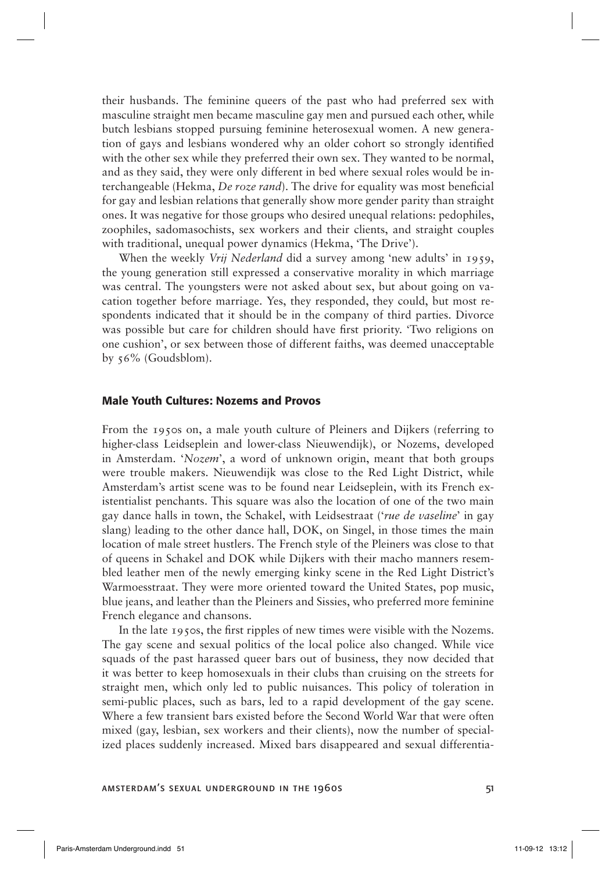their husbands. The feminine queers of the past who had preferred sex with masculine straight men became masculine gay men and pursued each other, while butch lesbians stopped pursuing feminine heterosexual women. A new generation of gays and lesbians wondered why an older cohort so strongly identified with the other sex while they preferred their own sex. They wanted to be normal, and as they said, they were only different in bed where sexual roles would be interchangeable (Hekma, *De roze rand*). The drive for equality was most beneficial for gay and lesbian relations that generally show more gender parity than straight ones. It was negative for those groups who desired unequal relations: pedophiles, zoophiles, sadomasochists, sex workers and their clients, and straight couples with traditional, unequal power dynamics (Hekma, 'The Drive').

When the weekly *Vrij Nederland* did a survey among 'new adults' in 1959, the young generation still expressed a conservative morality in which marriage was central. The youngsters were not asked about sex, but about going on vacation together before marriage. Yes, they responded, they could, but most respondents indicated that it should be in the company of third parties. Divorce was possible but care for children should have first priority. 'Two religions on one cushion', or sex between those of different faiths, was deemed unacceptable by 56% (Goudsblom).

#### Male Youth Cultures: Nozems and Provos

From the 1950s on, a male youth culture of Pleiners and Dijkers (referring to higher-class Leidseplein and lower-class Nieuwendijk), or Nozems, developed in Amsterdam. '*Nozem*', a word of unknown origin, meant that both groups were trouble makers. Nieuwendijk was close to the Red Light District, while Amsterdam's artist scene was to be found near Leidseplein, with its French existentialist penchants. This square was also the location of one of the two main gay dance halls in town, the Schakel, with Leidsestraat ('*rue de vaseline*' in gay slang) leading to the other dance hall, DOK, on Singel, in those times the main location of male street hustlers. The French style of the Pleiners was close to that of queens in Schakel and DOK while Dijkers with their macho manners resembled leather men of the newly emerging kinky scene in the Red Light District's Warmoesstraat. They were more oriented toward the United States, pop music, blue jeans, and leather than the Pleiners and Sissies, who preferred more feminine French elegance and chansons.

In the late 1950s, the first ripples of new times were visible with the Nozems. The gay scene and sexual politics of the local police also changed. While vice squads of the past harassed queer bars out of business, they now decided that it was better to keep homosexuals in their clubs than cruising on the streets for straight men, which only led to public nuisances. This policy of toleration in semi-public places, such as bars, led to a rapid development of the gay scene. Where a few transient bars existed before the Second World War that were often mixed (gay, lesbian, sex workers and their clients), now the number of specialized places suddenly increased. Mixed bars disappeared and sexual differentia-

amsterdam's sexual underground in the 1960s 51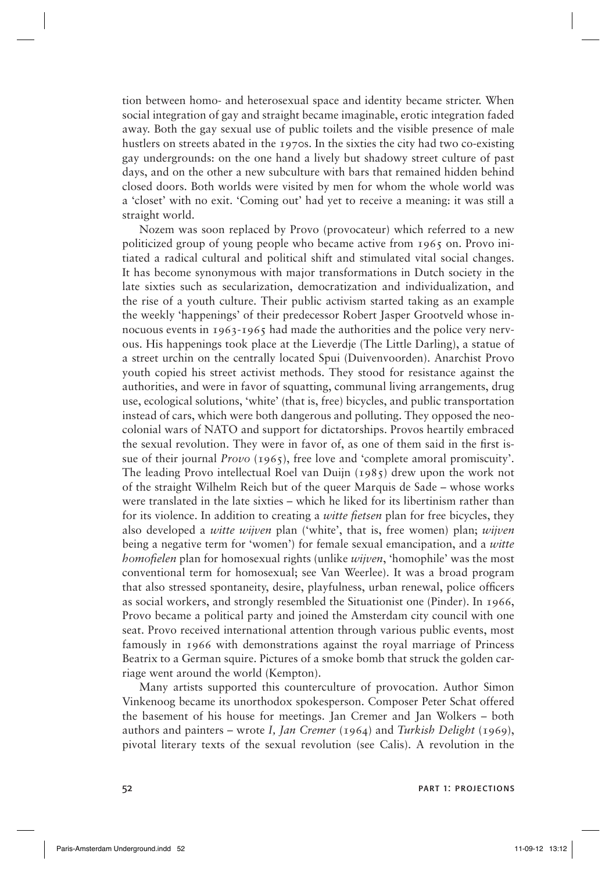tion between homo- and heterosexual space and identity became stricter. When social integration of gay and straight became imaginable, erotic integration faded away. Both the gay sexual use of public toilets and the visible presence of male hustlers on streets abated in the 1970s. In the sixties the city had two co-existing gay undergrounds: on the one hand a lively but shadowy street culture of past days, and on the other a new subculture with bars that remained hidden behind closed doors. Both worlds were visited by men for whom the whole world was a 'closet' with no exit. 'Coming out' had yet to receive a meaning: it was still a straight world.

Nozem was soon replaced by Provo (provocateur) which referred to a new politicized group of young people who became active from 1965 on. Provo initiated a radical cultural and political shift and stimulated vital social changes. It has become synonymous with major transformations in Dutch society in the late sixties such as secularization, democratization and individualization, and the rise of a youth culture. Their public activism started taking as an example the weekly 'happenings' of their predecessor Robert Jasper Grootveld whose innocuous events in 1963-1965 had made the authorities and the police very nervous. His happenings took place at the Lieverdje (The Little Darling), a statue of a street urchin on the centrally located Spui (Duivenvoorden). Anarchist Provo youth copied his street activist methods. They stood for resistance against the authorities, and were in favor of squatting, communal living arrangements, drug use, ecological solutions, 'white' (that is, free) bicycles, and public transportation instead of cars, which were both dangerous and polluting. They opposed the neocolonial wars of NATO and support for dictatorships. Provos heartily embraced the sexual revolution. They were in favor of, as one of them said in the first issue of their journal *Provo* (1965), free love and 'complete amoral promiscuity'. The leading Provo intellectual Roel van Duijn (1985) drew upon the work not of the straight Wilhelm Reich but of the queer Marquis de Sade – whose works were translated in the late sixties – which he liked for its libertinism rather than for its violence. In addition to creating a *witte fietsen* plan for free bicycles, they also developed a *witte wijven* plan ('white', that is, free women) plan; *wijven* being a negative term for 'women') for female sexual emancipation, and a *witte homofielen* plan for homosexual rights (unlike *wijven*, 'homophile' was the most conventional term for homosexual; see Van Weerlee). It was a broad program that also stressed spontaneity, desire, playfulness, urban renewal, police officers as social workers, and strongly resembled the Situationist one (Pinder). In 1966, Provo became a political party and joined the Amsterdam city council with one seat. Provo received international attention through various public events, most famously in 1966 with demonstrations against the royal marriage of Princess Beatrix to a German squire. Pictures of a smoke bomb that struck the golden carriage went around the world (Kempton).

Many artists supported this counterculture of provocation. Author Simon Vinkenoog became its unorthodox spokesperson. Composer Peter Schat offered the basement of his house for meetings. Jan Cremer and Jan Wolkers – both authors and painters – wrote *I, Jan Cremer* (1964) and *Turkish Delight* (1969), pivotal literary texts of the sexual revolution (see Calis). A revolution in the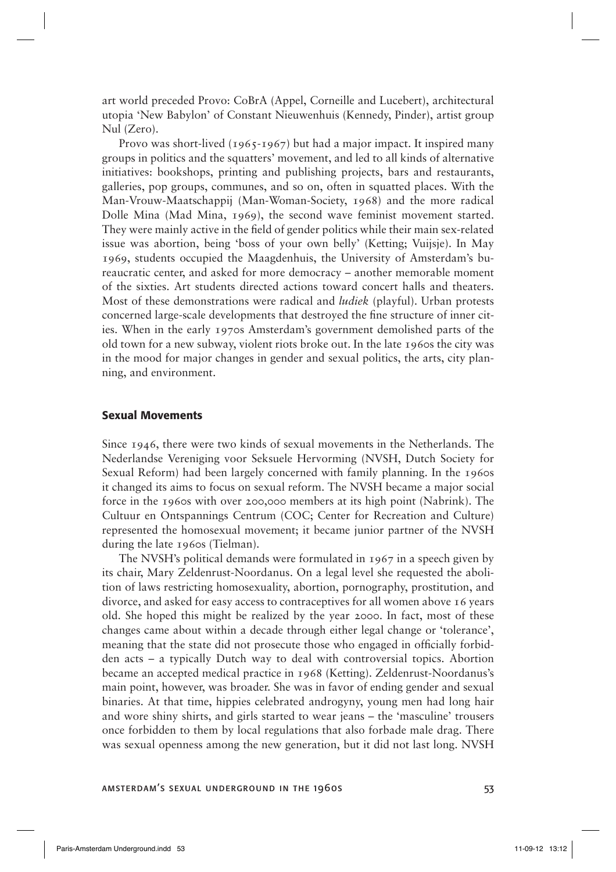art world preceded Provo: CoBrA (Appel, Corneille and Lucebert), architectural utopia 'New Babylon' of Constant Nieuwenhuis (Kennedy, Pinder), artist group Nul (Zero).

Provo was short-lived (1965-1967) but had a major impact. It inspired many groups in politics and the squatters' movement, and led to all kinds of alternative initiatives: bookshops, printing and publishing projects, bars and restaurants, galleries, pop groups, communes, and so on, often in squatted places. With the Man-Vrouw-Maatschappij (Man-Woman-Society, 1968) and the more radical Dolle Mina (Mad Mina, 1969), the second wave feminist movement started. They were mainly active in the field of gender politics while their main sex-related issue was abortion, being 'boss of your own belly' (Ketting; Vuijsje). In May 1969, students occupied the Maagdenhuis, the University of Amsterdam's bureaucratic center, and asked for more democracy – another memorable moment of the sixties. Art students directed actions toward concert halls and theaters. Most of these demonstrations were radical and *ludiek* (playful). Urban protests concerned large-scale developments that destroyed the fine structure of inner cities. When in the early 1970s Amsterdam's government demolished parts of the old town for a new subway, violent riots broke out. In the late 1960s the city was in the mood for major changes in gender and sexual politics, the arts, city planning, and environment.

### Sexual Movements

Since 1946, there were two kinds of sexual movements in the Netherlands. The Nederlandse Vereniging voor Seksuele Hervorming (NVSH, Dutch Society for Sexual Reform) had been largely concerned with family planning. In the 1960s it changed its aims to focus on sexual reform. The NVSH became a major social force in the 1960s with over 200,000 members at its high point (Nabrink). The Cultuur en Ontspannings Centrum (COC; Center for Recreation and Culture) represented the homosexual movement; it became junior partner of the NVSH during the late 1960s (Tielman).

The NVSH's political demands were formulated in 1967 in a speech given by its chair, Mary Zeldenrust-Noordanus. On a legal level she requested the abolition of laws restricting homosexuality, abortion, pornography, prostitution, and divorce, and asked for easy access to contraceptives for all women above 16 years old. She hoped this might be realized by the year 2000. In fact, most of these changes came about within a decade through either legal change or 'tolerance', meaning that the state did not prosecute those who engaged in officially forbidden acts – a typically Dutch way to deal with controversial topics. Abortion became an accepted medical practice in 1968 (Ketting). Zeldenrust-Noordanus's main point, however, was broader. She was in favor of ending gender and sexual binaries. At that time, hippies celebrated androgyny, young men had long hair and wore shiny shirts, and girls started to wear jeans – the 'masculine' trousers once forbidden to them by local regulations that also forbade male drag. There was sexual openness among the new generation, but it did not last long. NVSH

#### AMSTERDAM'S SEXUAL UNDERGROUND IN THE 1960S 653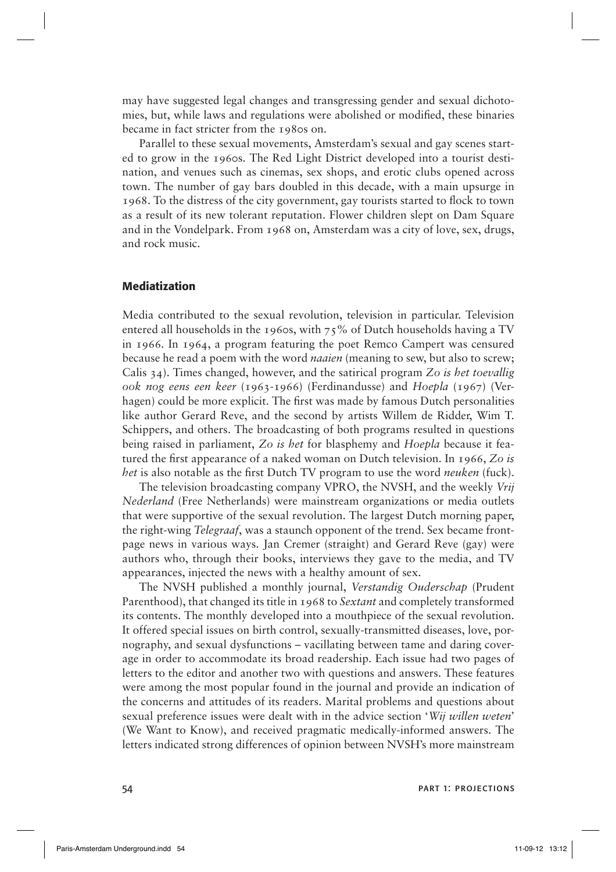may have suggested legal changes and transgressing gender and sexual dichotomies, but, while laws and regulations were abolished or modified, these binaries became in fact stricter from the 1980s on.

Parallel to these sexual movements, Amsterdam's sexual and gay scenes started to grow in the 1960s. The Red Light District developed into a tourist destination, and venues such as cinemas, sex shops, and erotic clubs opened across town. The number of gay bars doubled in this decade, with a main upsurge in 1968. To the distress of the city government, gay tourists started to flock to town as a result of its new tolerant reputation. Flower children slept on Dam Square and in the Vondelpark. From 1968 on, Amsterdam was a city of love, sex, drugs, and rock music.

# Mediatization

Media contributed to the sexual revolution, television in particular. Television entered all households in the 1960s, with  $75\%$  of Dutch households having a TV in 1966. In 1964, a program featuring the poet Remco Campert was censured because he read a poem with the word *naaien* (meaning to sew, but also to screw; Calis 34). Times changed, however, and the satirical program *Zo is het toevallig ook nog eens een keer* (1963-1966) (Ferdinandusse) and *Hoepla* (1967) (Verhagen) could be more explicit. The first was made by famous Dutch personalities like author Gerard Reve, and the second by artists Willem de Ridder, Wim T. Schippers, and others. The broadcasting of both programs resulted in questions being raised in parliament, *Zo is het* for blasphemy and *Hoepla* because it featured the first appearance of a naked woman on Dutch television. In 1966, *Zo is het* is also notable as the first Dutch TV program to use the word *neuken* (fuck).

The television broadcasting company VPRO, the NVSH, and the weekly *Vrij Nederland* (Free Netherlands) were mainstream organizations or media outlets that were supportive of the sexual revolution. The largest Dutch morning paper, the right-wing *Telegraaf*, was a staunch opponent of the trend. Sex became frontpage news in various ways. Jan Cremer (straight) and Gerard Reve (gay) were authors who, through their books, interviews they gave to the media, and TV appearances, injected the news with a healthy amount of sex.

The NVSH published a monthly journal, *Verstandig Ouderschap* (Prudent Parenthood), that changed its title in 1968 to *Sextant* and completely transformed its contents. The monthly developed into a mouthpiece of the sexual revolution. It offered special issues on birth control, sexually-transmitted diseases, love, pornography, and sexual dysfunctions – vacillating between tame and daring coverage in order to accommodate its broad readership. Each issue had two pages of letters to the editor and another two with questions and answers. These features were among the most popular found in the journal and provide an indication of the concerns and attitudes of its readers. Marital problems and questions about sexual preference issues were dealt with in the advice section '*Wij willen weten*' (We Want to Know), and received pragmatic medically-informed answers. The letters indicated strong differences of opinion between NVSH's more mainstream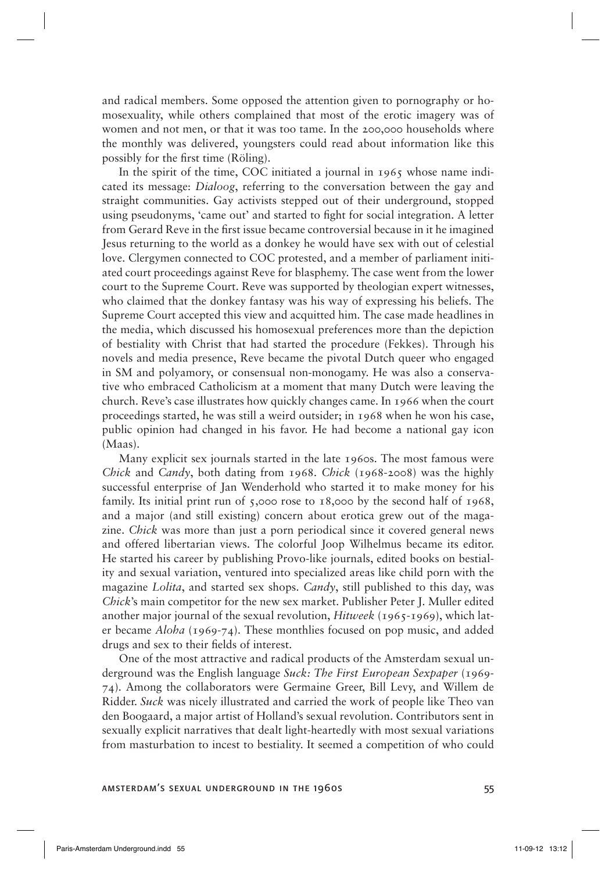and radical members. Some opposed the attention given to pornography or homosexuality, while others complained that most of the erotic imagery was of women and not men, or that it was too tame. In the 200,000 households where the monthly was delivered, youngsters could read about information like this possibly for the first time (Röling).

In the spirit of the time, COC initiated a journal in 1965 whose name indicated its message: *Dialoog*, referring to the conversation between the gay and straight communities. Gay activists stepped out of their underground, stopped using pseudonyms, 'came out' and started to fight for social integration. A letter from Gerard Reve in the first issue became controversial because in it he imagined Jesus returning to the world as a donkey he would have sex with out of celestial love. Clergymen connected to COC protested, and a member of parliament initiated court proceedings against Reve for blasphemy. The case went from the lower court to the Supreme Court. Reve was supported by theologian expert witnesses, who claimed that the donkey fantasy was his way of expressing his beliefs. The Supreme Court accepted this view and acquitted him. The case made headlines in the media, which discussed his homosexual preferences more than the depiction of bestiality with Christ that had started the procedure (Fekkes). Through his novels and media presence, Reve became the pivotal Dutch queer who engaged in SM and polyamory, or consensual non-monogamy. He was also a conservative who embraced Catholicism at a moment that many Dutch were leaving the church. Reve's case illustrates how quickly changes came. In 1966 when the court proceedings started, he was still a weird outsider; in 1968 when he won his case, public opinion had changed in his favor. He had become a national gay icon (Maas).

Many explicit sex journals started in the late 1960s. The most famous were *Chick* and *Candy*, both dating from 1968. *Chick* (1968-2008) was the highly successful enterprise of Jan Wenderhold who started it to make money for his family. Its initial print run of  $5,000$  rose to 18,000 by the second half of 1968, and a major (and still existing) concern about erotica grew out of the magazine. *Chick* was more than just a porn periodical since it covered general news and offered libertarian views. The colorful Joop Wilhelmus became its editor. He started his career by publishing Provo-like journals, edited books on bestiality and sexual variation, ventured into specialized areas like child porn with the magazine *Lolita*, and started sex shops. *Candy*, still published to this day, was *Chick*'s main competitor for the new sex market. Publisher Peter J. Muller edited another major journal of the sexual revolution, *Hitweek* (1965-1969), which later became *Aloha* (1969-74). These monthlies focused on pop music, and added drugs and sex to their fields of interest.

One of the most attractive and radical products of the Amsterdam sexual underground was the English language *Suck: The First European Sexpaper* (1969- 74). Among the collaborators were Germaine Greer, Bill Levy, and Willem de Ridder. *Suck* was nicely illustrated and carried the work of people like Theo van den Boogaard, a major artist of Holland's sexual revolution. Contributors sent in sexually explicit narratives that dealt light-heartedly with most sexual variations from masturbation to incest to bestiality. It seemed a competition of who could

amsterdam's sexual underground in the 1960s 55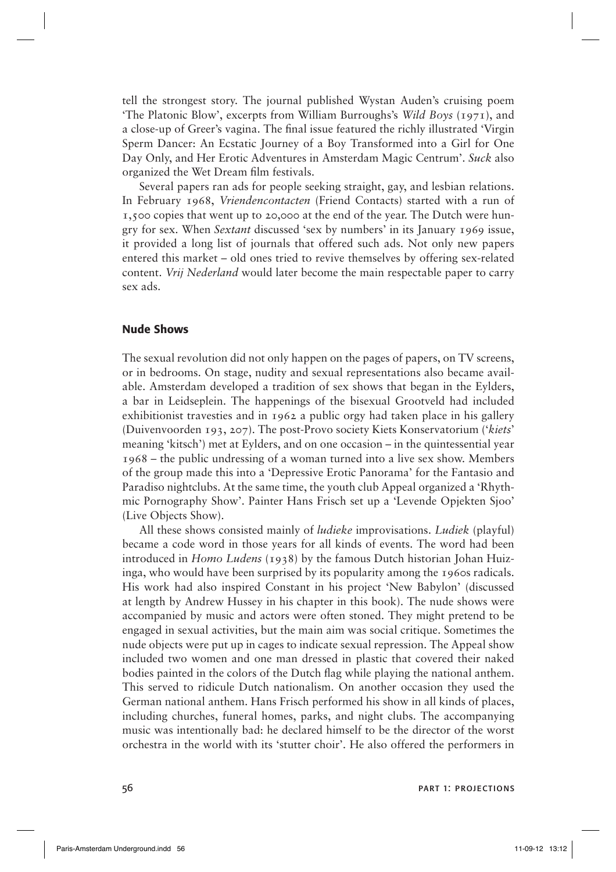tell the strongest story. The journal published Wystan Auden's cruising poem 'The Platonic Blow', excerpts from William Burroughs's *Wild Boys* (1971), and a close-up of Greer's vagina. The final issue featured the richly illustrated 'Virgin Sperm Dancer: An Ecstatic Journey of a Boy Transformed into a Girl for One Day Only, and Her Erotic Adventures in Amsterdam Magic Centrum'. *Suck* also organized the Wet Dream film festivals.

Several papers ran ads for people seeking straight, gay, and lesbian relations. In February 1968, *Vriendencontacten* (Friend Contacts) started with a run of 1,500 copies that went up to 20,000 at the end of the year. The Dutch were hungry for sex. When *Sextant* discussed 'sex by numbers' in its January 1969 issue, it provided a long list of journals that offered such ads. Not only new papers entered this market – old ones tried to revive themselves by offering sex-related content. *Vrij Nederland* would later become the main respectable paper to carry sex ads.

# Nude Shows

The sexual revolution did not only happen on the pages of papers, on TV screens, or in bedrooms. On stage, nudity and sexual representations also became available. Amsterdam developed a tradition of sex shows that began in the Eylders, a bar in Leidseplein. The happenings of the bisexual Grootveld had included exhibitionist travesties and in 1962 a public orgy had taken place in his gallery (Duivenvoorden 193, 207). The post-Provo society Kiets Konservatorium ('*kiets*' meaning 'kitsch') met at Eylders, and on one occasion – in the quintessential year 1968 – the public undressing of a woman turned into a live sex show. Members of the group made this into a 'Depressive Erotic Panorama' for the Fantasio and Paradiso nightclubs. At the same time, the youth club Appeal organized a 'Rhythmic Pornography Show'. Painter Hans Frisch set up a 'Levende Opjekten Sjoo' (Live Objects Show).

All these shows consisted mainly of *ludieke* improvisations. *Ludiek* (playful) became a code word in those years for all kinds of events. The word had been introduced in *Homo Ludens* (1938) by the famous Dutch historian Johan Huizinga, who would have been surprised by its popularity among the 1960s radicals. His work had also inspired Constant in his project 'New Babylon' (discussed at length by Andrew Hussey in his chapter in this book). The nude shows were accompanied by music and actors were often stoned. They might pretend to be engaged in sexual activities, but the main aim was social critique. Sometimes the nude objects were put up in cages to indicate sexual repression. The Appeal show included two women and one man dressed in plastic that covered their naked bodies painted in the colors of the Dutch flag while playing the national anthem. This served to ridicule Dutch nationalism. On another occasion they used the German national anthem. Hans Frisch performed his show in all kinds of places, including churches, funeral homes, parks, and night clubs. The accompanying music was intentionally bad: he declared himself to be the director of the worst orchestra in the world with its 'stutter choir'. He also offered the performers in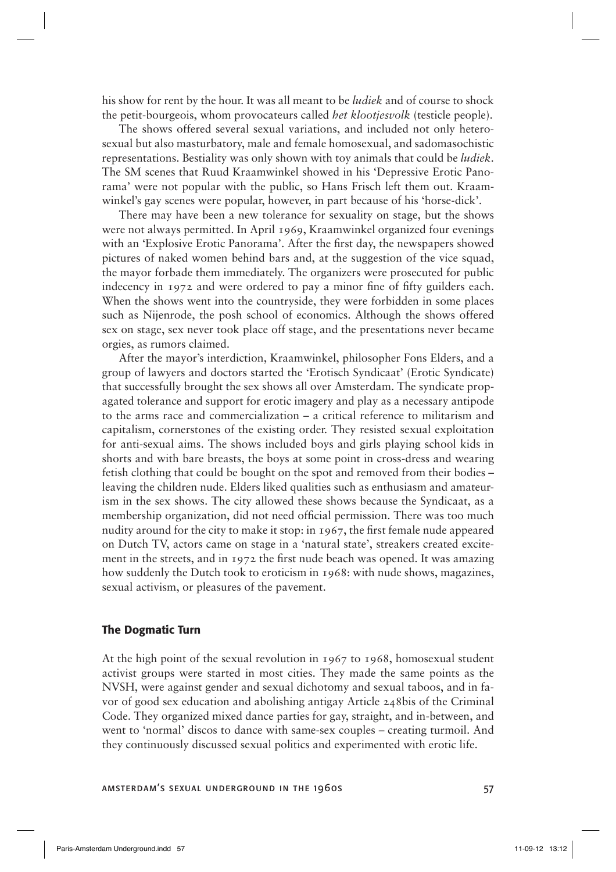his show for rent by the hour. It was all meant to be *ludiek* and of course to shock the petit-bourgeois, whom provocateurs called *het klootjesvolk* (testicle people).

The shows offered several sexual variations, and included not only heterosexual but also masturbatory, male and female homosexual, and sadomasochistic representations. Bestiality was only shown with toy animals that could be *ludiek*. The SM scenes that Ruud Kraamwinkel showed in his 'Depressive Erotic Panorama' were not popular with the public, so Hans Frisch left them out. Kraamwinkel's gay scenes were popular, however, in part because of his 'horse-dick'.

There may have been a new tolerance for sexuality on stage, but the shows were not always permitted. In April 1969, Kraamwinkel organized four evenings with an 'Explosive Erotic Panorama'. After the first day, the newspapers showed pictures of naked women behind bars and, at the suggestion of the vice squad, the mayor forbade them immediately. The organizers were prosecuted for public indecency in 1972 and were ordered to pay a minor fine of fifty guilders each. When the shows went into the countryside, they were forbidden in some places such as Nijenrode, the posh school of economics. Although the shows offered sex on stage, sex never took place off stage, and the presentations never became orgies, as rumors claimed.

After the mayor's interdiction, Kraamwinkel, philosopher Fons Elders, and a group of lawyers and doctors started the 'Erotisch Syndicaat' (Erotic Syndicate) that successfully brought the sex shows all over Amsterdam. The syndicate propagated tolerance and support for erotic imagery and play as a necessary antipode to the arms race and commercialization – a critical reference to militarism and capitalism, cornerstones of the existing order. They resisted sexual exploitation for anti-sexual aims. The shows included boys and girls playing school kids in shorts and with bare breasts, the boys at some point in cross-dress and wearing fetish clothing that could be bought on the spot and removed from their bodies – leaving the children nude. Elders liked qualities such as enthusiasm and amateurism in the sex shows. The city allowed these shows because the Syndicaat, as a membership organization, did not need official permission. There was too much nudity around for the city to make it stop: in 1967, the first female nude appeared on Dutch TV, actors came on stage in a 'natural state', streakers created excitement in the streets, and in 1972 the first nude beach was opened. It was amazing how suddenly the Dutch took to eroticism in 1968: with nude shows, magazines, sexual activism, or pleasures of the pavement.

#### The Dogmatic Turn

At the high point of the sexual revolution in 1967 to 1968, homosexual student activist groups were started in most cities. They made the same points as the NVSH, were against gender and sexual dichotomy and sexual taboos, and in favor of good sex education and abolishing antigay Article 248bis of the Criminal Code. They organized mixed dance parties for gay, straight, and in-between, and went to 'normal' discos to dance with same-sex couples – creating turmoil. And they continuously discussed sexual politics and experimented with erotic life.

AMSTERDAM'S SEXUAL UNDERGROUND IN THE 1960S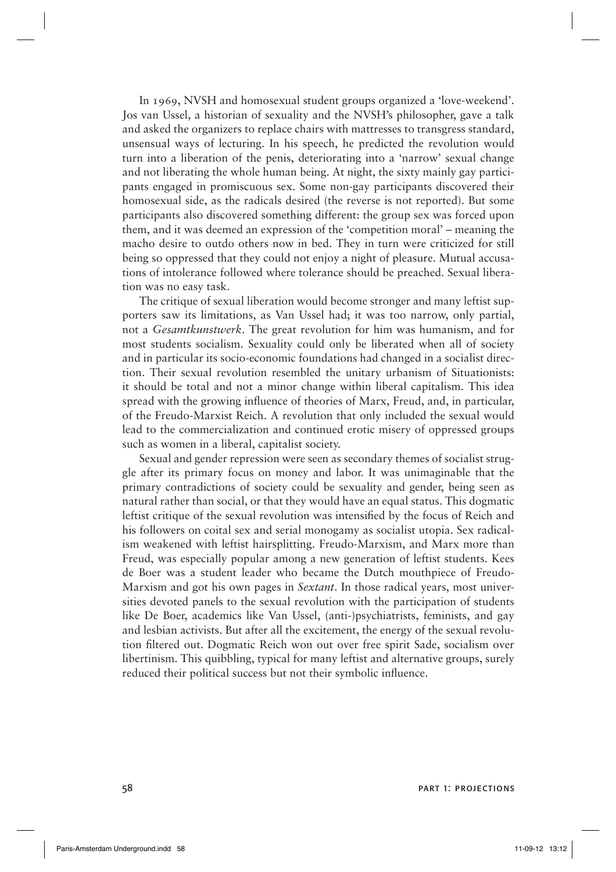In 1969, NVSH and homosexual student groups organized a 'love-weekend'. Jos van Ussel, a historian of sexuality and the NVSH's philosopher, gave a talk and asked the organizers to replace chairs with mattresses to transgress standard, unsensual ways of lecturing. In his speech, he predicted the revolution would turn into a liberation of the penis, deteriorating into a 'narrow' sexual change and not liberating the whole human being. At night, the sixty mainly gay participants engaged in promiscuous sex. Some non-gay participants discovered their homosexual side, as the radicals desired (the reverse is not reported). But some participants also discovered something different: the group sex was forced upon them, and it was deemed an expression of the 'competition moral' – meaning the macho desire to outdo others now in bed. They in turn were criticized for still being so oppressed that they could not enjoy a night of pleasure. Mutual accusations of intolerance followed where tolerance should be preached. Sexual liberation was no easy task.

The critique of sexual liberation would become stronger and many leftist supporters saw its limitations, as Van Ussel had; it was too narrow, only partial, not a *Gesamtkunstwerk*. The great revolution for him was humanism, and for most students socialism. Sexuality could only be liberated when all of society and in particular its socio-economic foundations had changed in a socialist direction. Their sexual revolution resembled the unitary urbanism of Situationists: it should be total and not a minor change within liberal capitalism. This idea spread with the growing influence of theories of Marx, Freud, and, in particular, of the Freudo-Marxist Reich. A revolution that only included the sexual would lead to the commercialization and continued erotic misery of oppressed groups such as women in a liberal, capitalist society.

Sexual and gender repression were seen as secondary themes of socialist struggle after its primary focus on money and labor. It was unimaginable that the primary contradictions of society could be sexuality and gender, being seen as natural rather than social, or that they would have an equal status. This dogmatic leftist critique of the sexual revolution was intensified by the focus of Reich and his followers on coital sex and serial monogamy as socialist utopia. Sex radicalism weakened with leftist hairsplitting. Freudo-Marxism, and Marx more than Freud, was especially popular among a new generation of leftist students. Kees de Boer was a student leader who became the Dutch mouthpiece of Freudo-Marxism and got his own pages in *Sextant*. In those radical years, most universities devoted panels to the sexual revolution with the participation of students like De Boer, academics like Van Ussel, (anti-)psychiatrists, feminists, and gay and lesbian activists. But after all the excitement, the energy of the sexual revolution filtered out. Dogmatic Reich won out over free spirit Sade, socialism over libertinism. This quibbling, typical for many leftist and alternative groups, surely reduced their political success but not their symbolic influence.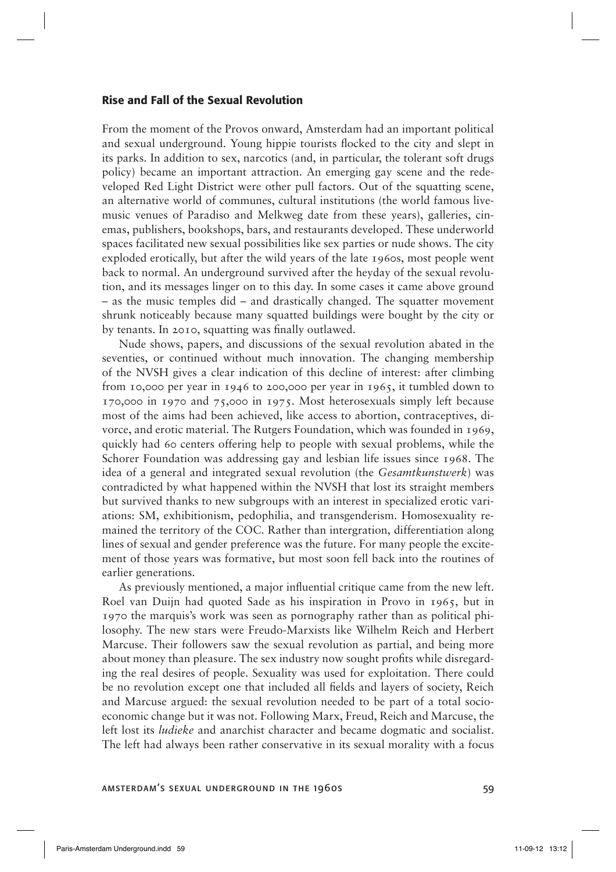# Rise and Fall of the Sexual Revolution

From the moment of the Provos onward, Amsterdam had an important political and sexual underground. Young hippie tourists flocked to the city and slept in its parks. In addition to sex, narcotics (and, in particular, the tolerant soft drugs policy) became an important attraction. An emerging gay scene and the redeveloped Red Light District were other pull factors. Out of the squatting scene, an alternative world of communes, cultural institutions (the world famous livemusic venues of Paradiso and Melkweg date from these years), galleries, cinemas, publishers, bookshops, bars, and restaurants developed. These underworld spaces facilitated new sexual possibilities like sex parties or nude shows. The city exploded erotically, but after the wild years of the late 1960s, most people went back to normal. An underground survived after the heyday of the sexual revolution, and its messages linger on to this day. In some cases it came above ground – as the music temples did – and drastically changed. The squatter movement shrunk noticeably because many squatted buildings were bought by the city or by tenants. In 2010, squatting was finally outlawed.

Nude shows, papers, and discussions of the sexual revolution abated in the seventies, or continued without much innovation. The changing membership of the NVSH gives a clear indication of this decline of interest: after climbing from 10,000 per year in 1946 to 200,000 per year in 1965, it tumbled down to 170,000 in 1970 and 75,000 in 1975. Most heterosexuals simply left because most of the aims had been achieved, like access to abortion, contraceptives, divorce, and erotic material. The Rutgers Foundation, which was founded in 1969, quickly had 60 centers offering help to people with sexual problems, while the Schorer Foundation was addressing gay and lesbian life issues since 1968. The idea of a general and integrated sexual revolution (the *Gesamtkunstwerk*) was contradicted by what happened within the NVSH that lost its straight members but survived thanks to new subgroups with an interest in specialized erotic variations: SM, exhibitionism, pedophilia, and transgenderism. Homosexuality remained the territory of the COC. Rather than intergration, differentiation along lines of sexual and gender preference was the future. For many people the excitement of those years was formative, but most soon fell back into the routines of earlier generations.

As previously mentioned, a major influential critique came from the new left. Roel van Duijn had quoted Sade as his inspiration in Provo in 1965, but in 1970 the marquis's work was seen as pornography rather than as political philosophy. The new stars were Freudo-Marxists like Wilhelm Reich and Herbert Marcuse. Their followers saw the sexual revolution as partial, and being more about money than pleasure. The sex industry now sought profits while disregarding the real desires of people. Sexuality was used for exploitation. There could be no revolution except one that included all fields and layers of society, Reich and Marcuse argued: the sexual revolution needed to be part of a total socioeconomic change but it was not. Following Marx, Freud, Reich and Marcuse, the left lost its *ludieke* and anarchist character and became dogmatic and socialist. The left had always been rather conservative in its sexual morality with a focus

#### AMSTERDAM'S SEXUAL UNDERGROUND IN THE 1960S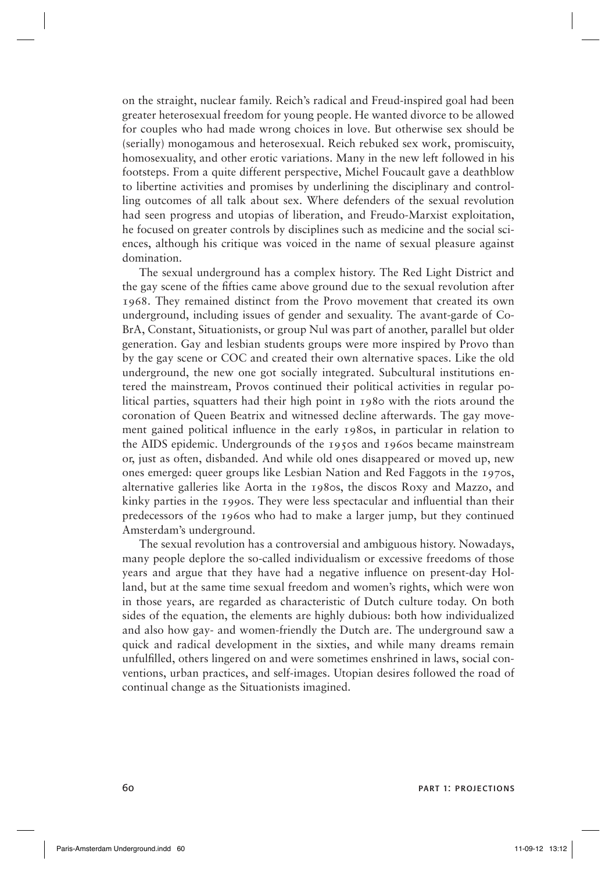on the straight, nuclear family. Reich's radical and Freud-inspired goal had been greater heterosexual freedom for young people. He wanted divorce to be allowed for couples who had made wrong choices in love. But otherwise sex should be (serially) monogamous and heterosexual. Reich rebuked sex work, promiscuity, homosexuality, and other erotic variations. Many in the new left followed in his footsteps. From a quite different perspective, Michel Foucault gave a deathblow to libertine activities and promises by underlining the disciplinary and controlling outcomes of all talk about sex. Where defenders of the sexual revolution had seen progress and utopias of liberation, and Freudo-Marxist exploitation, he focused on greater controls by disciplines such as medicine and the social sciences, although his critique was voiced in the name of sexual pleasure against domination.

The sexual underground has a complex history. The Red Light District and the gay scene of the fifties came above ground due to the sexual revolution after 1968. They remained distinct from the Provo movement that created its own underground, including issues of gender and sexuality. The avant-garde of Co-BrA, Constant, Situationists, or group Nul was part of another, parallel but older generation. Gay and lesbian students groups were more inspired by Provo than by the gay scene or COC and created their own alternative spaces. Like the old underground, the new one got socially integrated. Subcultural institutions entered the mainstream, Provos continued their political activities in regular political parties, squatters had their high point in 1980 with the riots around the coronation of Queen Beatrix and witnessed decline afterwards. The gay movement gained political influence in the early 1980s, in particular in relation to the AIDS epidemic. Undergrounds of the 1950s and 1960s became mainstream or, just as often, disbanded. And while old ones disappeared or moved up, new ones emerged: queer groups like Lesbian Nation and Red Faggots in the 1970s, alternative galleries like Aorta in the 1980s, the discos Roxy and Mazzo, and kinky parties in the 1990s. They were less spectacular and influential than their predecessors of the 1960s who had to make a larger jump, but they continued Amsterdam's underground.

The sexual revolution has a controversial and ambiguous history. Nowadays, many people deplore the so-called individualism or excessive freedoms of those years and argue that they have had a negative influence on present-day Holland, but at the same time sexual freedom and women's rights, which were won in those years, are regarded as characteristic of Dutch culture today. On both sides of the equation, the elements are highly dubious: both how individualized and also how gay- and women-friendly the Dutch are. The underground saw a quick and radical development in the sixties, and while many dreams remain unfulfilled, others lingered on and were sometimes enshrined in laws, social conventions, urban practices, and self-images. Utopian desires followed the road of continual change as the Situationists imagined.